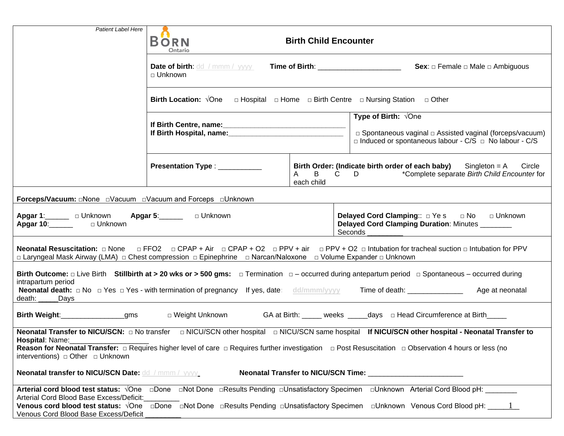| <b>Patient Label Here</b>                                                                                                                                                                                                                                                                                                                                                                          |                                                                                                                          |                                            |                                                                                                                                                                                                                                                                                                                       |  |
|----------------------------------------------------------------------------------------------------------------------------------------------------------------------------------------------------------------------------------------------------------------------------------------------------------------------------------------------------------------------------------------------------|--------------------------------------------------------------------------------------------------------------------------|--------------------------------------------|-----------------------------------------------------------------------------------------------------------------------------------------------------------------------------------------------------------------------------------------------------------------------------------------------------------------------|--|
|                                                                                                                                                                                                                                                                                                                                                                                                    | <b>BORN</b><br><b>Birth Child Encounter</b><br>Ontario                                                                   |                                            |                                                                                                                                                                                                                                                                                                                       |  |
|                                                                                                                                                                                                                                                                                                                                                                                                    | <b>Date of birth:</b> dd / mmm / yyyy<br><b>Time of Birth:</b> Time of Birth:<br>$\sqcap$ Unknown                        |                                            | <b>Sex:</b> $\Box$ Female $\Box$ Male $\Box$ Ambiguous                                                                                                                                                                                                                                                                |  |
|                                                                                                                                                                                                                                                                                                                                                                                                    | <b>Birth Location:</b> $\sqrt{O}$ ne $\Box$ Hospital $\Box$ Home $\Box$ Birth Centre $\Box$ Nursing Station $\Box$ Other |                                            |                                                                                                                                                                                                                                                                                                                       |  |
|                                                                                                                                                                                                                                                                                                                                                                                                    |                                                                                                                          |                                            | <b>Type of Birth:</b> $\sqrt{O}$ ne<br>□ Spontaneous vaginal □ Assisted vaginal (forceps/vacuum)<br>$\Box$ Induced or spontaneous labour - C/S $\Box$ No labour - C/S                                                                                                                                                 |  |
|                                                                                                                                                                                                                                                                                                                                                                                                    | Presentation Type : ___________                                                                                          | $\mathsf{B}$<br>$\mathsf{A}$<br>each child | Birth Order: (Indicate birth order of each baby)<br>$Singleton = A$ Circle<br>$C$ D D<br>*Complete separate Birth Child Encounter for                                                                                                                                                                                 |  |
|                                                                                                                                                                                                                                                                                                                                                                                                    |                                                                                                                          |                                            |                                                                                                                                                                                                                                                                                                                       |  |
| Apgar 1: Unknown Apgar 5: Junknown<br>Apgar 10: Unknown                                                                                                                                                                                                                                                                                                                                            |                                                                                                                          |                                            | Delayed Cord Clamping:: DYes DNo DUnknown<br>Delayed Cord Clamping Duration: Minutes<br>Seconds                                                                                                                                                                                                                       |  |
| Neonatal Resuscitation: $\Box$ None $\Box$ FFO2 $\Box$ CPAP + Air $\Box$ CPAP + O2 $\Box$ PPV + air $\Box$ PPV + O2 $\Box$ Intubation for tracheal suction $\Box$ Intubation for PPV<br>□ Laryngeal Mask Airway (LMA) □ Chest compression □ Epinephrine □ Narcan/Naloxone □ Volume Expander □ Unknown                                                                                              |                                                                                                                          |                                            |                                                                                                                                                                                                                                                                                                                       |  |
| Birth Outcome: $\Box$ Live Birth Stillbirth at > 20 wks or > 500 gms: $\Box$ Termination $\Box$ - occurred during antepartum period $\Box$ Spontaneous – occurred during<br>intrapartum period<br><b>Neonatal death:</b> $\Box$ No $\Box$ Yes $\Box$ Yes - with termination of pregnancy If yes, date: dd/mmm/yyyy<br>Time of death: <u>_________________</u><br>Age at neonatal<br>death:<br>Days |                                                                                                                          |                                            |                                                                                                                                                                                                                                                                                                                       |  |
| Birth Weight:___________________gms<br>□ Weight Unknown<br>GA at Birth: _____ weeks ______days _ Head Circumference at Birth_____                                                                                                                                                                                                                                                                  |                                                                                                                          |                                            |                                                                                                                                                                                                                                                                                                                       |  |
| Hospital: Name:<br><b>Neonatal transfer to NICU/SCN Date: dd / mmm / yyyy</b>                                                                                                                                                                                                                                                                                                                      |                                                                                                                          |                                            |                                                                                                                                                                                                                                                                                                                       |  |
| Arterial Cord Blood Base Excess/Deficit:<br>Venous Cord Blood Base Excess/Deficit                                                                                                                                                                                                                                                                                                                  |                                                                                                                          |                                            | Arterial cord blood test status: √One □Done □Not Done □Results Pending □Unsatisfactory Specimen □Unknown Arterial Cord Blood pH:<br><b>Venous cord blood test status:</b> $\sqrt{O}$ ne $\Box$ Done $\Box$ Not Done $\Box$ Results Pending $\Box$ Unsatisfactory Specimen $\Box$ Unknown Venous Cord Blood pH: $\Box$ |  |